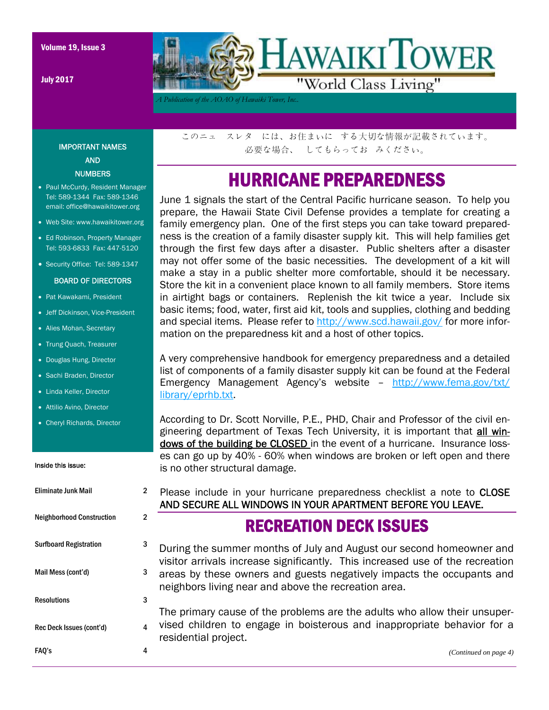July 2017



*A Publication of the AOAO of Hawaiki Tower, Inc..* 

IMPORTANT NAMES AND **NUMBERS** 

- Paul McCurdy, Resident Manager Tel: 589-1344 Fax: 589-1346 email: office@hawaikitower.org
- Web Site: www.hawaikitower.org
- Ed Robinson, Property Manager Tel: 593-6833 Fax: 447-5120
- Security Office: Tel: 589-1347

#### BOARD OF DIRECTORS

- Pat Kawakami, President
- Jeff Dickinson, Vice-President
- Alies Mohan, Secretary
- Trung Quach, Treasurer
- Douglas Hung, Director
- Sachi Braden, Director
- Linda Keller, Director
- Attilio Avino, Director
- Cheryl Richards, Director

#### Inside this issue:

| Eliminate Junk Mail              | 2 |
|----------------------------------|---|
| <b>Neighborhood Construction</b> | 2 |
| <b>Surfboard Registration</b>    | 3 |
| Mail Mess (cont'd)               | 3 |
| <b>Resolutions</b>               | 3 |
| Rec Deck Issues (cont'd)         | 4 |
| FAQ's                            | 4 |

このニュ スレタ には、お住まいに する大切な情報が記載されています。 必要な場合、 してもらってお みください。

## HURRICANE PREPAREDNESS

June 1 signals the start of the Central Pacific hurricane season. To help you prepare, the Hawaii State Civil Defense provides a template for creating a family emergency plan. One of the first steps you can take toward preparedness is the creation of a family disaster supply kit. This will help families get through the first few days after a disaster. Public shelters after a disaster may not offer some of the basic necessities. The development of a kit will make a stay in a public shelter more comfortable, should it be necessary. Store the kit in a convenient place known to all family members. Store items in airtight bags or containers. Replenish the kit twice a year. Include six basic items; food, water, first aid kit, tools and supplies, clothing and bedding and special items. Please refer to http://www.scd.hawaii.gov/ for more information on the preparedness kit and a host of other topics.

A very comprehensive handbook for emergency preparedness and a detailed list of components of a family disaster supply kit can be found at the Federal Emergency Management Agency's website – http://www.fema.gov/txt/ library/eprhb.txt.

According to Dr. Scott Norville, P.E., PHD, Chair and Professor of the civil engineering department of Texas Tech University, it is important that all windows of the building be CLOSED in the event of a hurricane. Insurance losses can go up by 40% - 60% when windows are broken or left open and there is no other structural damage.

Please include in your hurricane preparedness checklist a note to CLOSE AND SECURE ALL WINDOWS IN YOUR APARTMENT BEFORE YOU LEAVE.

#### RECREATION DECK ISSUES

During the summer months of July and August our second homeowner and visitor arrivals increase significantly. This increased use of the recreation areas by these owners and guests negatively impacts the occupants and neighbors living near and above the recreation area.

The primary cause of the problems are the adults who allow their unsupervised children to engage in boisterous and inappropriate behavior for a residential project.

|  |  | (Continued on page 4) |
|--|--|-----------------------|
|  |  |                       |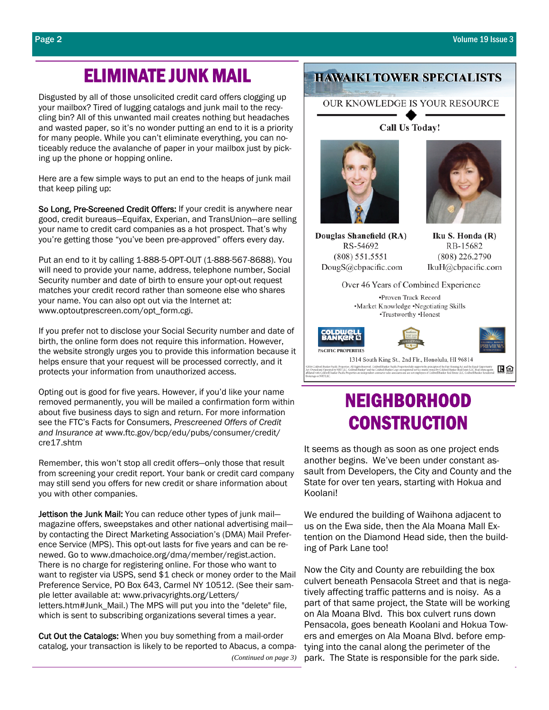### ELIMINATE JUNK MAIL

Disgusted by all of those unsolicited credit card offers clogging up your mailbox? Tired of lugging catalogs and junk mail to the recycling bin? All of this unwanted mail creates nothing but headaches and wasted paper, so it's no wonder putting an end to it is a priority for many people. While you can't eliminate everything, you can noticeably reduce the avalanche of paper in your mailbox just by picking up the phone or hopping online.

Here are a few simple ways to put an end to the heaps of junk mail that keep piling up:

So Long, Pre-Screened Credit Offers: If your credit is anywhere near good, credit bureaus—Equifax, Experian, and TransUnion—are selling your name to credit card companies as a hot prospect. That's why you're getting those "you've been pre-approved" offers every day.

Put an end to it by calling 1-888-5-OPT-OUT (1-888-567-8688). You will need to provide your name, address, telephone number, Social Security number and date of birth to ensure your opt-out request matches your credit record rather than someone else who shares your name. You can also opt out via the Internet at: www.optoutprescreen.com/opt\_form.cgi.

If you prefer not to disclose your Social Security number and date of birth, the online form does not require this information. However, the website strongly urges you to provide this information because it helps ensure that your request will be processed correctly, and it protects your information from unauthorized access.

Opting out is good for five years. However, if you'd like your name removed permanently, you will be mailed a confirmation form within about five business days to sign and return. For more information see the FTC's Facts for Consumers, *Prescreened Offers of Credit and Insurance at* www.ftc.gov/bcp/edu/pubs/consumer/credit/ cre17.shtm

Remember, this won't stop all credit offers—only those that result from screening your credit report. Your bank or credit card company may still send you offers for new credit or share information about you with other companies.

Jettison the Junk Mail: You can reduce other types of junk mailmagazine offers, sweepstakes and other national advertising mail by contacting the Direct Marketing Association's (DMA) Mail Preference Service (MPS). This opt-out lasts for five years and can be renewed. Go to www.dmachoice.org/dma/member/regist.action. There is no charge for registering online. For those who want to want to register via USPS, send \$1 check or money order to the Mail Preference Service, PO Box 643, Carmel NY 10512. (See their sample letter available at: www.privacyrights.org/Letters/ letters.htm#Junk\_Mail.) The MPS will put you into the "delete" file, which is sent to subscribing organizations several times a year.

Cut Out the Catalogs: When you buy something from a mail-order catalog, your transaction is likely to be reported to Abacus, a compa-

*(Continued on page 3)* 

#### **HAWAIKI TOWER SPECIALISTS**

OUR KNOWLEDGE IS YOUR RESOURCE

Call Us Today!

Douglas Shanefield (RA) RS-54692  $(808) 551.5551$ DougS@cbpacific.com

Iku S. Honda (R) RB-15682 (808) 226.2790 IkuH@cbpacific.com



# NEIGHBORHOOD **CONSTRUCTION**

It seems as though as soon as one project ends another begins. We've been under constant assault from Developers, the City and County and the State for over ten years, starting with Hokua and Koolani!

We endured the building of Waihona adjacent to us on the Ewa side, then the Ala Moana Mall Extention on the Diamond Head side, then the building of Park Lane too!

Now the City and County are rebuilding the box culvert beneath Pensacola Street and that is negatively affecting traffic patterns and is noisy. As a part of that same project, the State will be working on Ala Moana Blvd. This box culvert runs down Pensacola, goes beneath Koolani and Hokua Towers and emerges on Ala Moana Blvd. before emptying into the canal along the perimeter of the park. The State is responsible for the park side.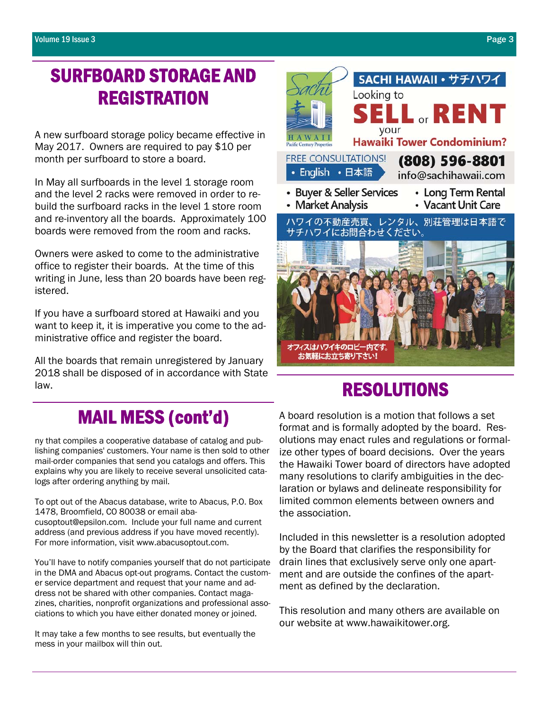## SURFBOARD STORAGE AND **REGISTRATION**

A new surfboard storage policy became effective in May 2017. Owners are required to pay \$10 per month per surfboard to store a board.

In May all surfboards in the level 1 storage room and the level 2 racks were removed in order to rebuild the surfboard racks in the level 1 store room and re-inventory all the boards. Approximately 100 boards were removed from the room and racks.

Owners were asked to come to the administrative office to register their boards. At the time of this writing in June, less than 20 boards have been registered.

If you have a surfboard stored at Hawaiki and you want to keep it, it is imperative you come to the administrative office and register the board.

All the boards that remain unregistered by January 2018 shall be disposed of in accordance with State law.



## RESOLUTIONS

## MAIL MESS (cont'd)

ny that compiles a cooperative database of catalog and publishing companies' customers. Your name is then sold to other mail-order companies that send you catalogs and offers. This explains why you are likely to receive several unsolicited catalogs after ordering anything by mail.

To opt out of the Abacus database, write to Abacus, P.O. Box 1478, Broomfield, CO 80038 or email abacusoptout@epsilon.com. Include your full name and current address (and previous address if you have moved recently). For more information, visit www.abacusoptout.com.

You'll have to notify companies yourself that do not participate in the DMA and Abacus opt-out programs. Contact the customer service department and request that your name and address not be shared with other companies. Contact magazines, charities, nonprofit organizations and professional associations to which you have either donated money or joined.

It may take a few months to see results, but eventually the mess in your mailbox will thin out.

A board resolution is a motion that follows a set format and is formally adopted by the board. Resolutions may enact rules and regulations or formalize other types of board decisions. Over the years the Hawaiki Tower board of directors have adopted many resolutions to clarify ambiguities in the declaration or bylaws and delineate responsibility for limited common elements between owners and the association.

Included in this newsletter is a resolution adopted by the Board that clarifies the responsibility for drain lines that exclusively serve only one apartment and are outside the confines of the apartment as defined by the declaration.

This resolution and many others are available on our website at www.hawaikitower.org.